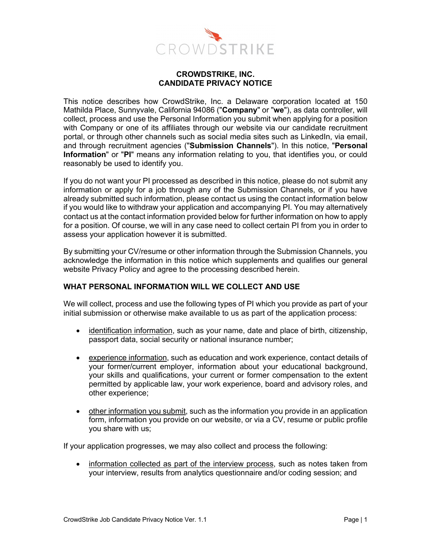

### **CROWDSTRIKE, INC. CANDIDATE PRIVACY NOTICE**

This notice describes how CrowdStrike, Inc. a Delaware corporation located at 150 Mathilda Place, Sunnyvale, California 94086 ("**Company**" or "**we**"), as data controller, will collect, process and use the Personal Information you submit when applying for a position with Company or one of its affiliates through our website via our candidate recruitment portal, or through other channels such as social media sites such as LinkedIn, via email, and through recruitment agencies ("**Submission Channels**"). In this notice, "**Personal Information**" or "**PI**" means any information relating to you, that identifies you, or could reasonably be used to identify you.

If you do not want your PI processed as described in this notice, please do not submit any information or apply for a job through any of the Submission Channels, or if you have already submitted such information, please contact us using the contact information below if you would like to withdraw your application and accompanying PI. You may alternatively contact us at the contact information provided below for further information on how to apply for a position. Of course, we will in any case need to collect certain PI from you in order to assess your application however it is submitted.

By submitting your CV/resume or other information through the Submission Channels, you acknowledge the information in this notice which supplements and qualifies our general website Privacy Policy and agree to the processing described herein.

# **WHAT PERSONAL INFORMATION WILL WE COLLECT AND USE**

We will collect, process and use the following types of PI which you provide as part of your initial submission or otherwise make available to us as part of the application process:

- identification information, such as your name, date and place of birth, citizenship, passport data, social security or national insurance number;
- experience information, such as education and work experience, contact details of your former/current employer, information about your educational background, your skills and qualifications, your current or former compensation to the extent permitted by applicable law, your work experience, board and advisory roles, and other experience;
- other information you submit, such as the information you provide in an application form, information you provide on our website, or via a CV, resume or public profile you share with us;

If your application progresses, we may also collect and process the following:

• information collected as part of the interview process, such as notes taken from your interview, results from analytics questionnaire and/or coding session; and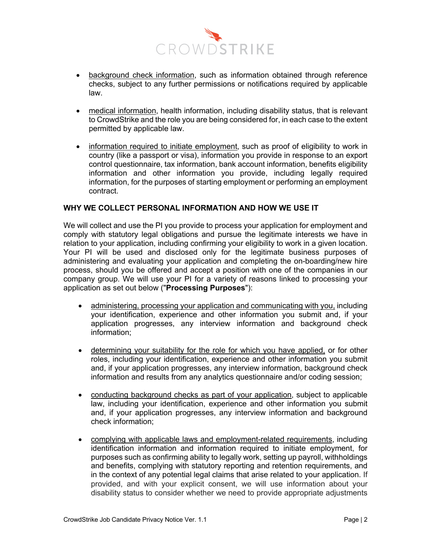

- background check information, such as information obtained through reference checks, subject to any further permissions or notifications required by applicable law.
- medical information, health information, including disability status, that is relevant to CrowdStrike and the role you are being considered for, in each case to the extent permitted by applicable law.
- information required to initiate employment, such as proof of eligibility to work in country (like a passport or visa), information you provide in response to an export control questionnaire, tax information, bank account information, benefits eligibility information and other information you provide, including legally required information, for the purposes of starting employment or performing an employment contract.

## **WHY WE COLLECT PERSONAL INFORMATION AND HOW WE USE IT**

We will collect and use the PI you provide to process your application for employment and comply with statutory legal obligations and pursue the legitimate interests we have in relation to your application, including confirming your eligibility to work in a given location. Your PI will be used and disclosed only for the legitimate business purposes of administering and evaluating your application and completing the on-boarding/new hire process, should you be offered and accept a position with one of the companies in our company group. We will use your PI for a variety of reasons linked to processing your application as set out below ("**Processing Purposes**"):

- administering, processing your application and communicating with you, including your identification, experience and other information you submit and, if your application progresses, any interview information and background check information;
- determining your suitability for the role for which you have applied, or for other roles, including your identification, experience and other information you submit and, if your application progresses, any interview information, background check information and results from any analytics questionnaire and/or coding session;
- conducting background checks as part of your application, subject to applicable law, including your identification, experience and other information you submit and, if your application progresses, any interview information and background check information;
- complying with applicable laws and employment-related requirements, including identification information and information required to initiate employment, for purposes such as confirming ability to legally work, setting up payroll, withholdings and benefits, complying with statutory reporting and retention requirements, and in the context of any potential legal claims that arise related to your application. If provided, and with your explicit consent, we will use information about your disability status to consider whether we need to provide appropriate adjustments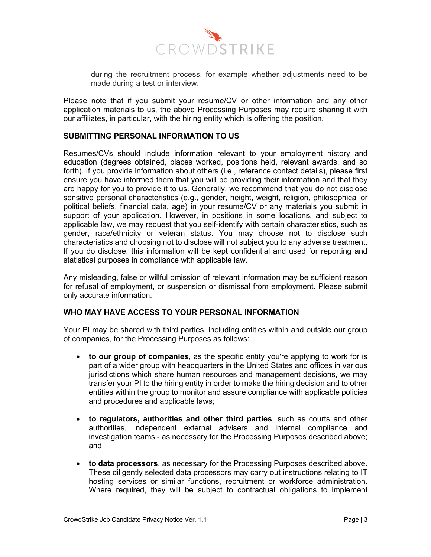

during the recruitment process, for example whether adjustments need to be made during a test or interview.

Please note that if you submit your resume/CV or other information and any other application materials to us, the above Processing Purposes may require sharing it with our affiliates, in particular, with the hiring entity which is offering the position.

### **SUBMITTING PERSONAL INFORMATION TO US**

Resumes/CVs should include information relevant to your employment history and education (degrees obtained, places worked, positions held, relevant awards, and so forth). If you provide information about others (i.e., reference contact details), please first ensure you have informed them that you will be providing their information and that they are happy for you to provide it to us. Generally, we recommend that you do not disclose sensitive personal characteristics (e.g., gender, height, weight, religion, philosophical or political beliefs, financial data, age) in your resume/CV or any materials you submit in support of your application. However, in positions in some locations, and subject to applicable law, we may request that you self-identify with certain characteristics, such as gender, race/ethnicity or veteran status. You may choose not to disclose such characteristics and choosing not to disclose will not subject you to any adverse treatment. If you do disclose, this information will be kept confidential and used for reporting and statistical purposes in compliance with applicable law.

Any misleading, false or willful omission of relevant information may be sufficient reason for refusal of employment, or suspension or dismissal from employment. Please submit only accurate information.

### **WHO MAY HAVE ACCESS TO YOUR PERSONAL INFORMATION**

Your PI may be shared with third parties, including entities within and outside our group of companies, for the Processing Purposes as follows:

- **to our group of companies**, as the specific entity you're applying to work for is part of a wider group with headquarters in the United States and offices in various jurisdictions which share human resources and management decisions, we may transfer your PI to the hiring entity in order to make the hiring decision and to other entities within the group to monitor and assure compliance with applicable policies and procedures and applicable laws;
- **to regulators, authorities and other third parties**, such as courts and other authorities, independent external advisers and internal compliance and investigation teams - as necessary for the Processing Purposes described above; and
- **to data processors**, as necessary for the Processing Purposes described above. These diligently selected data processors may carry out instructions relating to IT hosting services or similar functions, recruitment or workforce administration. Where required, they will be subject to contractual obligations to implement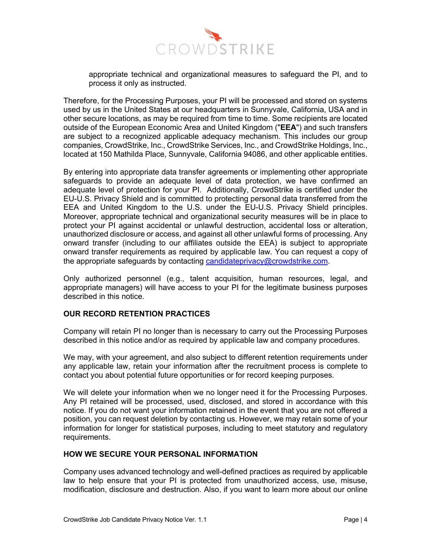

appropriate technical and organizational measures to safeguard the PI, and to process it only as instructed.

Therefore, for the Processing Purposes, your PI will be processed and stored on systems used by us in the United States at our headquarters in Sunnyvale, California, USA and in other secure locations, as may be required from time to time. Some recipients are located outside of the European Economic Area and United Kingdom ("**EEA**") and such transfers are subject to a recognized applicable adequacy mechanism. This includes our group companies, CrowdStrike, Inc., CrowdStrike Services, Inc., and CrowdStrike Holdings, Inc., located at 150 Mathilda Place, Sunnyvale, California 94086, and other applicable entities.

By entering into appropriate data transfer agreements or implementing other appropriate safeguards to provide an adequate level of data protection, we have confirmed an adequate level of protection for your PI. Additionally, CrowdStrike is certified under the EU-U.S. Privacy Shield and is committed to protecting personal data transferred from the EEA and United Kingdom to the U.S. under the EU-U.S. Privacy Shield principles. Moreover, appropriate technical and organizational security measures will be in place to protect your PI against accidental or unlawful destruction, accidental loss or alteration, unauthorized disclosure or access, and against all other unlawful forms of processing. Any onward transfer (including to our affiliates outside the EEA) is subject to appropriate onward transfer requirements as required by applicable law. You can request a copy of the appropriate safeguards by contacting candidateprivacy@crowdstrike.com.

Only authorized personnel (e.g., talent acquisition, human resources, legal, and appropriate managers) will have access to your PI for the legitimate business purposes described in this notice.

### **OUR RECORD RETENTION PRACTICES**

Company will retain PI no longer than is necessary to carry out the Processing Purposes described in this notice and/or as required by applicable law and company procedures.

We may, with your agreement, and also subject to different retention requirements under any applicable law, retain your information after the recruitment process is complete to contact you about potential future opportunities or for record keeping purposes.

We will delete your information when we no longer need it for the Processing Purposes. Any PI retained will be processed, used, disclosed, and stored in accordance with this notice. If you do not want your information retained in the event that you are not offered a position, you can request deletion by contacting us. However, we may retain some of your information for longer for statistical purposes, including to meet statutory and regulatory requirements.

### **HOW WE SECURE YOUR PERSONAL INFORMATION**

Company uses advanced technology and well-defined practices as required by applicable law to help ensure that your PI is protected from unauthorized access, use, misuse, modification, disclosure and destruction. Also, if you want to learn more about our online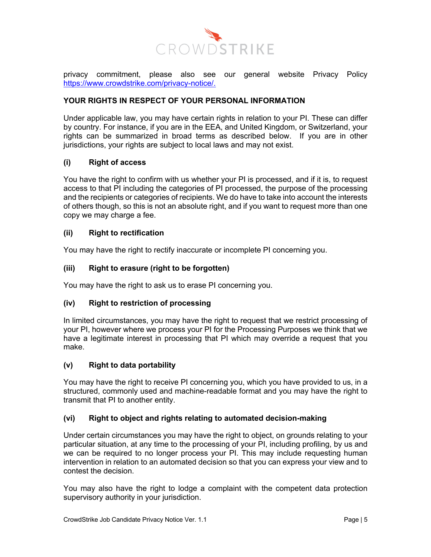

privacy commitment, please also see our general website Privacy Policy https://www.crowdstrike.com/privacy-notice/.

# **YOUR RIGHTS IN RESPECT OF YOUR PERSONAL INFORMATION**

Under applicable law, you may have certain rights in relation to your PI. These can differ by country. For instance, if you are in the EEA, and United Kingdom, or Switzerland, your rights can be summarized in broad terms as described below. If you are in other jurisdictions, your rights are subject to local laws and may not exist.

# **(i) Right of access**

You have the right to confirm with us whether your PI is processed, and if it is, to request access to that PI including the categories of PI processed, the purpose of the processing and the recipients or categories of recipients. We do have to take into account the interests of others though, so this is not an absolute right, and if you want to request more than one copy we may charge a fee.

### **(ii) Right to rectification**

You may have the right to rectify inaccurate or incomplete PI concerning you.

## **(iii) Right to erasure (right to be forgotten)**

You may have the right to ask us to erase PI concerning you.

# **(iv) Right to restriction of processing**

In limited circumstances, you may have the right to request that we restrict processing of your PI, however where we process your PI for the Processing Purposes we think that we have a legitimate interest in processing that PI which may override a request that you make.

### **(v) Right to data portability**

You may have the right to receive PI concerning you, which you have provided to us, in a structured, commonly used and machine-readable format and you may have the right to transmit that PI to another entity.

### **(vi) Right to object and rights relating to automated decision-making**

Under certain circumstances you may have the right to object, on grounds relating to your particular situation, at any time to the processing of your PI, including profiling, by us and we can be required to no longer process your PI. This may include requesting human intervention in relation to an automated decision so that you can express your view and to contest the decision.

You may also have the right to lodge a complaint with the competent data protection supervisory authority in your jurisdiction.